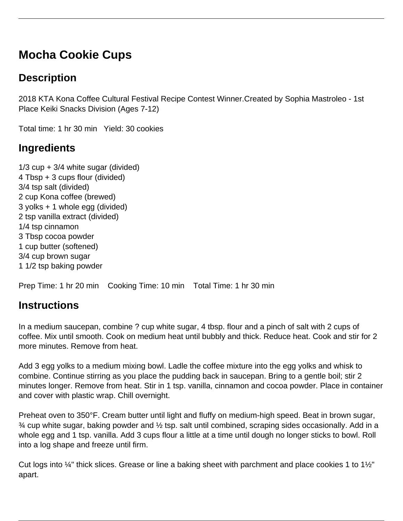# **Mocha Cookie Cups**

### **Description**

2018 KTA Kona Coffee Cultural Festival Recipe Contest Winner.Created by Sophia Mastroleo - 1st Place Keiki Snacks Division (Ages 7-12)

Total time: 1 hr 30 min Yield: 30 cookies

## **Ingredients**

 $1/3$  cup  $+3/4$  white sugar (divided) 4 Tbsp + 3 cups flour (divided) 3/4 tsp salt (divided) 2 cup Kona coffee (brewed) 3 yolks + 1 whole egg (divided) 2 tsp vanilla extract (divided) 1/4 tsp cinnamon 3 Tbsp cocoa powder 1 cup butter (softened) 3/4 cup brown sugar 1 1/2 tsp baking powder

Prep Time: 1 hr 20 min Cooking Time: 10 min Total Time: 1 hr 30 min

#### **Instructions**

In a medium saucepan, combine ? cup white sugar, 4 tbsp. flour and a pinch of salt with 2 cups of coffee. Mix until smooth. Cook on medium heat until bubbly and thick. Reduce heat. Cook and stir for 2 more minutes. Remove from heat.

Add 3 egg yolks to a medium mixing bowl. Ladle the coffee mixture into the egg yolks and whisk to combine. Continue stirring as you place the pudding back in saucepan. Bring to a gentle boil; stir 2 minutes longer. Remove from heat. Stir in 1 tsp. vanilla, cinnamon and cocoa powder. Place in container and cover with plastic wrap. Chill overnight.

Preheat oven to 350°F. Cream butter until light and fluffy on medium-high speed. Beat in brown sugar,  $\frac{3}{4}$  cup white sugar, baking powder and  $\frac{1}{2}$  tsp. salt until combined, scraping sides occasionally. Add in a whole egg and 1 tsp. vanilla. Add 3 cups flour a little at a time until dough no longer sticks to bowl. Roll into a log shape and freeze until firm.

Cut logs into ¼" thick slices. Grease or line a baking sheet with parchment and place cookies 1 to 1½" apart.